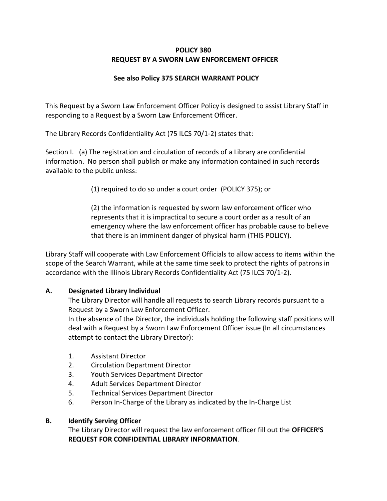# **POLICY 380 REQUEST BY A SWORN LAW ENFORCEMENT OFFICER**

## **See also Policy 375 SEARCH WARRANT POLICY**

This Request by a Sworn Law Enforcement Officer Policy is designed to assist Library Staff in responding to a Request by a Sworn Law Enforcement Officer.

The Library Records Confidentiality Act (75 ILCS 70/1-2) states that:

Section I. (a) The registration and circulation of records of a Library are confidential information. No person shall publish or make any information contained in such records available to the public unless:

(1) required to do so under a court order (POLICY 375); or

(2) the information is requested by sworn law enforcement officer who represents that it is impractical to secure a court order as a result of an emergency where the law enforcement officer has probable cause to believe that there is an imminent danger of physical harm (THIS POLICY).

Library Staff will cooperate with Law Enforcement Officials to allow access to items within the scope of the Search Warrant, while at the same time seek to protect the rights of patrons in accordance with the Illinois Library Records Confidentiality Act (75 ILCS 70/1-2).

# **A. Designated Library Individual**

The Library Director will handle all requests to search Library records pursuant to a Request by a Sworn Law Enforcement Officer.

In the absence of the Director, the individuals holding the following staff positions will deal with a Request by a Sworn Law Enforcement Officer issue (In all circumstances attempt to contact the Library Director):

- 1. Assistant Director
- 2. Circulation Department Director
- 3. Youth Services Department Director
- 4. Adult Services Department Director
- 5. Technical Services Department Director
- 6. Person In-Charge of the Library as indicated by the In-Charge List

# **B. Identify Serving Officer**

The Library Director will request the law enforcement officer fill out the **OFFICER**=**S REQUEST FOR CONFIDENTIAL LIBRARY INFORMATION**.